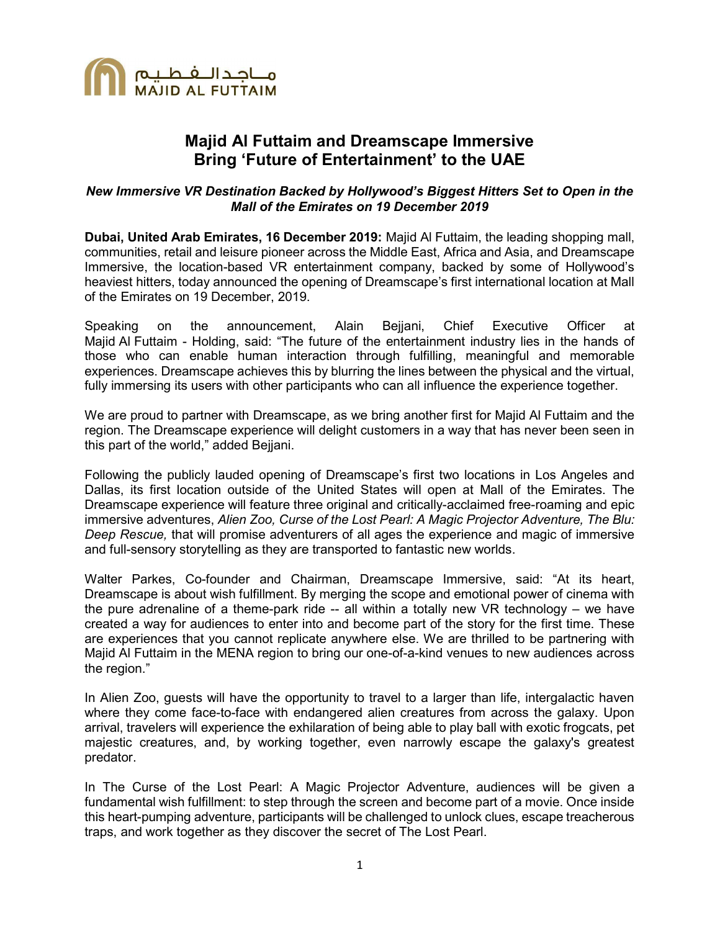

# Majid Al Futtaim and Dreamscape Immersive Bring 'Future of Entertainment' to the UAE

### New Immersive VR Destination Backed by Hollywood's Biggest Hitters Set to Open in the Mall of the Emirates on 19 December 2019

Dubai, United Arab Emirates, 16 December 2019: Majid Al Futtaim, the leading shopping mall, communities, retail and leisure pioneer across the Middle East, Africa and Asia, and Dreamscape Immersive, the location-based VR entertainment company, backed by some of Hollywood's heaviest hitters, today announced the opening of Dreamscape's first international location at Mall of the Emirates on 19 December, 2019.

Speaking on the announcement, Alain Bejjani, Chief Executive Officer at Majid Al Futtaim - Holding, said: "The future of the entertainment industry lies in the hands of those who can enable human interaction through fulfilling, meaningful and memorable experiences. Dreamscape achieves this by blurring the lines between the physical and the virtual, fully immersing its users with other participants who can all influence the experience together.

We are proud to partner with Dreamscape, as we bring another first for Majid Al Futtaim and the region. The Dreamscape experience will delight customers in a way that has never been seen in this part of the world," added Bejjani.

Following the publicly lauded opening of Dreamscape's first two locations in Los Angeles and Dallas, its first location outside of the United States will open at Mall of the Emirates. The Dreamscape experience will feature three original and critically-acclaimed free-roaming and epic immersive adventures, Alien Zoo, Curse of the Lost Pearl: A Magic Projector Adventure, The Blu: Deep Rescue, that will promise adventurers of all ages the experience and magic of immersive and full-sensory storytelling as they are transported to fantastic new worlds.

Walter Parkes, Co-founder and Chairman, Dreamscape Immersive, said: "At its heart, Dreamscape is about wish fulfillment. By merging the scope and emotional power of cinema with the pure adrenaline of a theme-park ride -- all within a totally new VR technology – we have created a way for audiences to enter into and become part of the story for the first time. These are experiences that you cannot replicate anywhere else. We are thrilled to be partnering with Majid Al Futtaim in the MENA region to bring our one-of-a-kind venues to new audiences across the region."

In Alien Zoo, guests will have the opportunity to travel to a larger than life, intergalactic haven where they come face-to-face with endangered alien creatures from across the galaxy. Upon arrival, travelers will experience the exhilaration of being able to play ball with exotic frogcats, pet majestic creatures, and, by working together, even narrowly escape the galaxy's greatest predator.

In The Curse of the Lost Pearl: A Magic Projector Adventure, audiences will be given a fundamental wish fulfillment: to step through the screen and become part of a movie. Once inside this heart-pumping adventure, participants will be challenged to unlock clues, escape treacherous traps, and work together as they discover the secret of The Lost Pearl.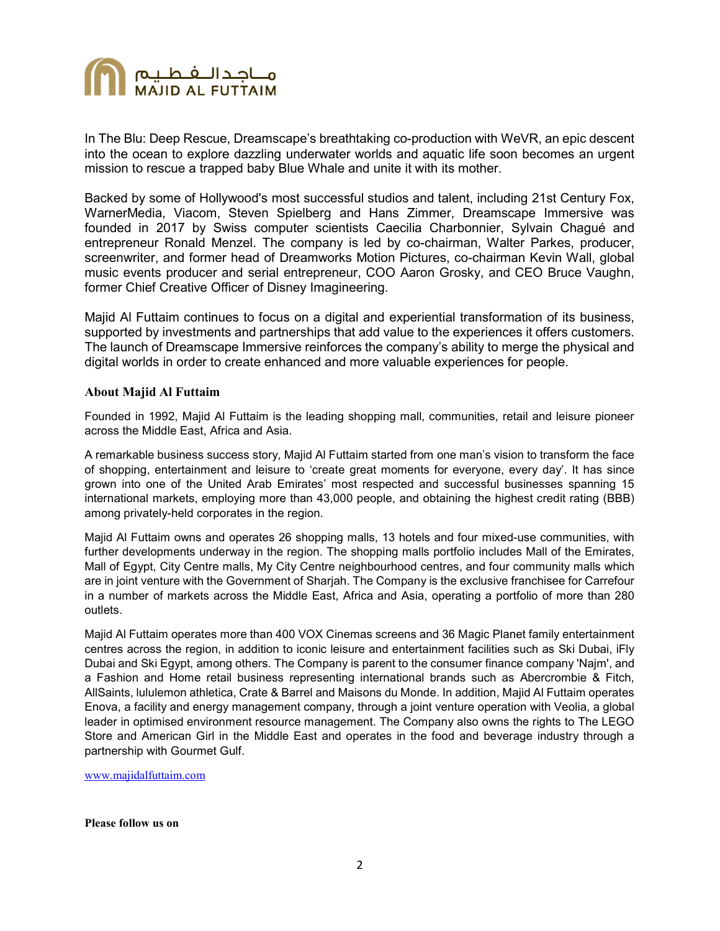

In The Blu: Deep Rescue, Dreamscape's breathtaking co-production with WeVR, an epic descent into the ocean to explore dazzling underwater worlds and aquatic life soon becomes an urgent mission to rescue a trapped baby Blue Whale and unite it with its mother.

Backed by some of Hollywood's most successful studios and talent, including 21st Century Fox, WarnerMedia, Viacom, Steven Spielberg and Hans Zimmer, Dreamscape Immersive was founded in 2017 by Swiss computer scientists Caecilia Charbonnier, Sylvain Chagué and entrepreneur Ronald Menzel. The company is led by co-chairman, Walter Parkes, producer, screenwriter, and former head of Dreamworks Motion Pictures, co-chairman Kevin Wall, global music events producer and serial entrepreneur, COO Aaron Grosky, and CEO Bruce Vaughn, former Chief Creative Officer of Disney Imagineering.

Majid Al Futtaim continues to focus on a digital and experiential transformation of its business, supported by investments and partnerships that add value to the experiences it offers customers. The launch of Dreamscape Immersive reinforces the company's ability to merge the physical and digital worlds in order to create enhanced and more valuable experiences for people.

#### About Majid Al Futtaim

Founded in 1992, Majid Al Futtaim is the leading shopping mall, communities, retail and leisure pioneer across the Middle East, Africa and Asia.

A remarkable business success story, Majid Al Futtaim started from one man's vision to transform the face of shopping, entertainment and leisure to 'create great moments for everyone, every day'. It has since grown into one of the United Arab Emirates' most respected and successful businesses spanning 15 international markets, employing more than 43,000 people, and obtaining the highest credit rating (BBB) among privately-held corporates in the region.

Majid Al Futtaim owns and operates 26 shopping malls, 13 hotels and four mixed-use communities, with further developments underway in the region. The shopping malls portfolio includes Mall of the Emirates, Mall of Egypt, City Centre malls, My City Centre neighbourhood centres, and four community malls which are in joint venture with the Government of Sharjah. The Company is the exclusive franchisee for Carrefour in a number of markets across the Middle East, Africa and Asia, operating a portfolio of more than 280 outlets.

Majid Al Futtaim operates more than 400 VOX Cinemas screens and 36 Magic Planet family entertainment centres across the region, in addition to iconic leisure and entertainment facilities such as Ski Dubai, iFly Dubai and Ski Egypt, among others. The Company is parent to the consumer finance company 'Najm', and a Fashion and Home retail business representing international brands such as Abercrombie & Fitch, AllSaints, lululemon athletica, Crate & Barrel and Maisons du Monde. In addition, Majid Al Futtaim operates Enova, a facility and energy management company, through a joint venture operation with Veolia, a global leader in optimised environment resource management. The Company also owns the rights to The LEGO Store and American Girl in the Middle East and operates in the food and beverage industry through a partnership with Gourmet Gulf.

www.majidalfuttaim.com